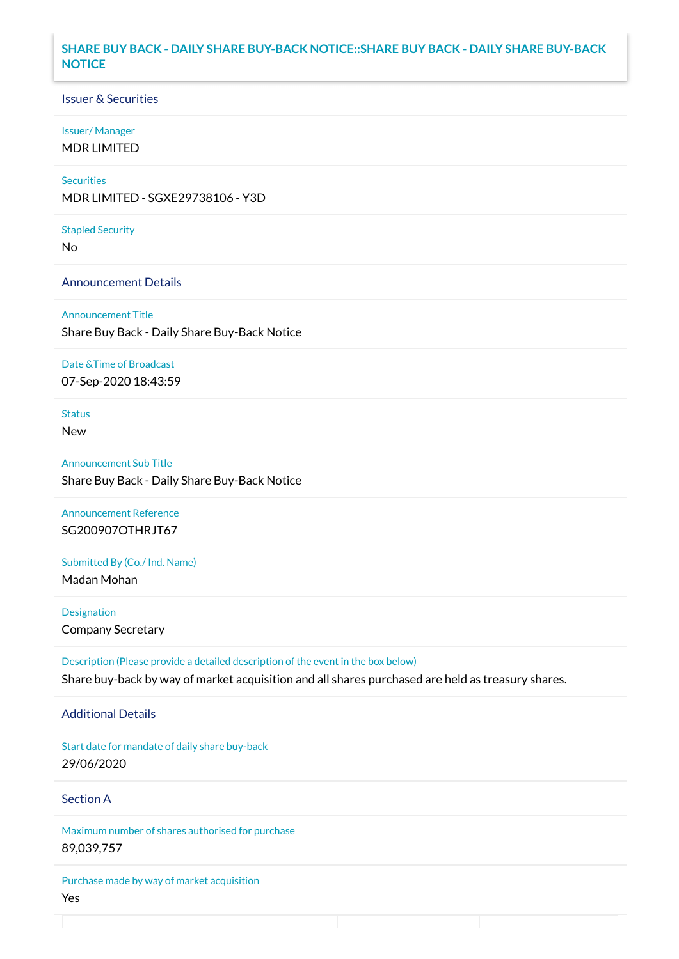## **SHARE BUY BACK - DAILY SHARE BUY-BACK NOTICE::SHARE BUY BACK - DAILY SHARE BUY-BACK NOTICE**

### Issuer & Securities

### Issuer/ Manager

MDR LIMITED

# **Securities**

MDR LIMITED - SGXE29738106 - Y3D

#### Stapled Security

No

### Announcement Details

Announcement Title Share Buy Back - Daily Share Buy-Back Notice

#### Date &Time of Broadcast

07-Sep-2020 18:43:59

# Status

New

Announcement Sub Title Share Buy Back - Daily Share Buy-Back Notice

Announcement Reference SG200907OTHRJT67

Submitted By (Co./ Ind. Name)

Madan Mohan

**Designation** Company Secretary

Description (Please provide a detailed description of the event in the box below) Share buy-back by way of market acquisition and all shares purchased are held as treasury shares.

### Additional Details

Start date for mandate of daily share buy-back 29/06/2020

# Section A

Maximum number of shares authorised for purchase 89,039,757

Purchase made by way of market acquisition Yes